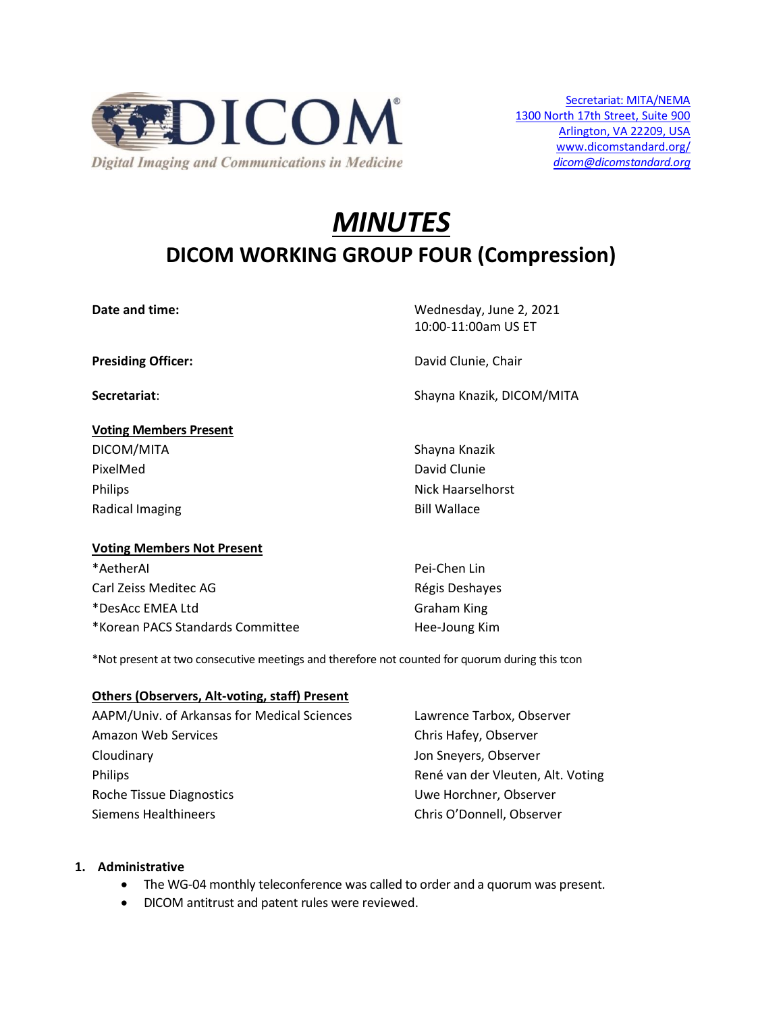

# *MINUTES* **DICOM WORKING GROUP FOUR (Compression)**

**Date and time:** Wednesday, June 2, 2021 10:00-11:00am US ET

**Presiding Officer:**  $D$  **David Clunie, Chair** 

**Secretariat**: Shayna Knazik, DICOM/MITA

# **Voting Members Present** DICOM/MITA Shayna Knazik PixelMed David Clunie Philips **Nick Haarselhorst** Radical Imaging **Bill Wallace**

## **Voting Members Not Present**

\*AetherAI Pei-Chen Lin Carl Zeiss Meditec AG **Régis Deshayes** Carl Zeiss Deshayes \*DesAcc EMEA Ltd Graham King \*Korean PACS Standards Committee Hee-Joung Kim

\*Not present at two consecutive meetings and therefore not counted for quorum during this tcon

## **Others (Observers, Alt-voting, staff) Present**

AAPM/Univ. of Arkansas for Medical Sciences Lawrence Tarbox, Observer Amazon Web Services **Chris Hafey, Observer** Chris Hafey, Observer Cloudinary Jon Sneyers, Observer Philips René van der Vleuten, Alt. Voting Roche Tissue Diagnostics The Contract Contract Contract Contract Contract Contract Contract Contract Contract Contract Contract Contract Contract Contract Contract Contract Contract Contract Contract Contract Contract Cont Siemens Healthineers Chris O'Donnell, Observer

# **1. Administrative**

- The WG-04 monthly teleconference was called to order and a quorum was present.
- DICOM antitrust and patent rules were reviewed.